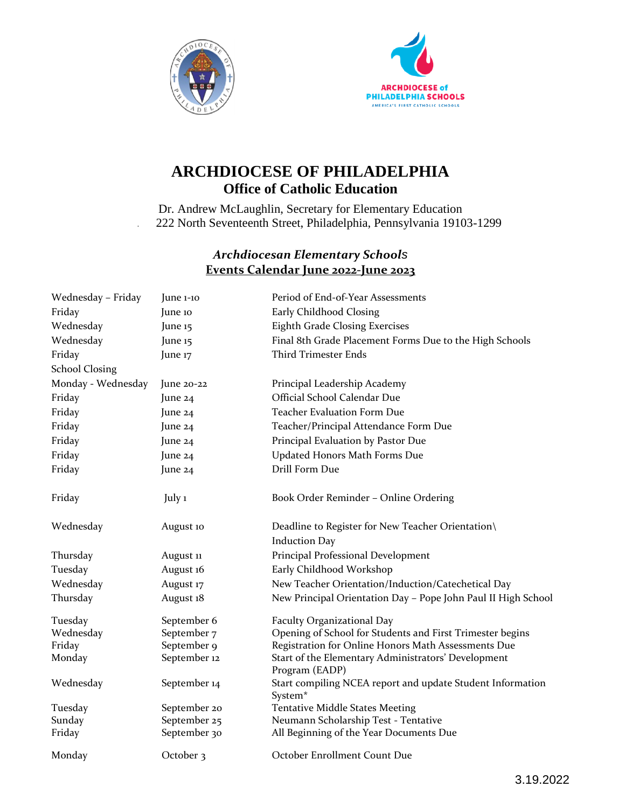



## **ARCHDIOCESE OF PHILADELPHIA Office of Catholic Education**

Dr. Andrew McLaughlin, Secretary for Elementary Education . 222 North Seventeenth Street, Philadelphia, Pennsylvania 19103-1299

## *Archdiocesan Elementary Schools* **Events Calendar June 2022-June 2023**

| Wednesday - Friday    | June 1-10    | Period of End-of-Year Assessments                                                 |
|-----------------------|--------------|-----------------------------------------------------------------------------------|
| Friday                | June 10      | Early Childhood Closing                                                           |
| Wednesday             | June 15      | <b>Eighth Grade Closing Exercises</b>                                             |
| Wednesday             | June 15      | Final 8th Grade Placement Forms Due to the High Schools                           |
| Friday                | June 17      | <b>Third Trimester Ends</b>                                                       |
| <b>School Closing</b> |              |                                                                                   |
| Monday - Wednesday    | June $20-22$ | Principal Leadership Academy                                                      |
| Friday                | June 24      | Official School Calendar Due                                                      |
| Friday                | June 24      | <b>Teacher Evaluation Form Due</b>                                                |
| Friday                | June 24      | Teacher/Principal Attendance Form Due                                             |
| Friday                | June 24      | Principal Evaluation by Pastor Due                                                |
| Friday                | June 24      | Updated Honors Math Forms Due                                                     |
| Friday                | June 24      | Drill Form Due                                                                    |
| Friday                | July 1       | Book Order Reminder - Online Ordering                                             |
| Wednesday             | August 10    | Deadline to Register for New Teacher Orientation\                                 |
|                       |              | <b>Induction Day</b>                                                              |
| Thursday              | August 11    | Principal Professional Development                                                |
| Tuesday               | August 16    | Early Childhood Workshop                                                          |
| Wednesday             | August 17    | New Teacher Orientation/Induction/Catechetical Day                                |
| Thursday              | August 18    | New Principal Orientation Day - Pope John Paul II High School                     |
| Tuesday               | September 6  | Faculty Organizational Day                                                        |
| Wednesday             | September 7  | Opening of School for Students and First Trimester begins                         |
| Friday                | September 9  | Registration for Online Honors Math Assessments Due                               |
| Monday                | September 12 | Start of the Elementary Administrators' Development<br>Program (EADP)             |
| Wednesday             | September 14 | Start compiling NCEA report and update Student Information<br>System <sup>*</sup> |
| Tuesday               | September 20 | <b>Tentative Middle States Meeting</b>                                            |
| Sunday                | September 25 | Neumann Scholarship Test - Tentative                                              |
| Friday                | September 30 | All Beginning of the Year Documents Due                                           |
| Monday                | October 3    | October Enrollment Count Due                                                      |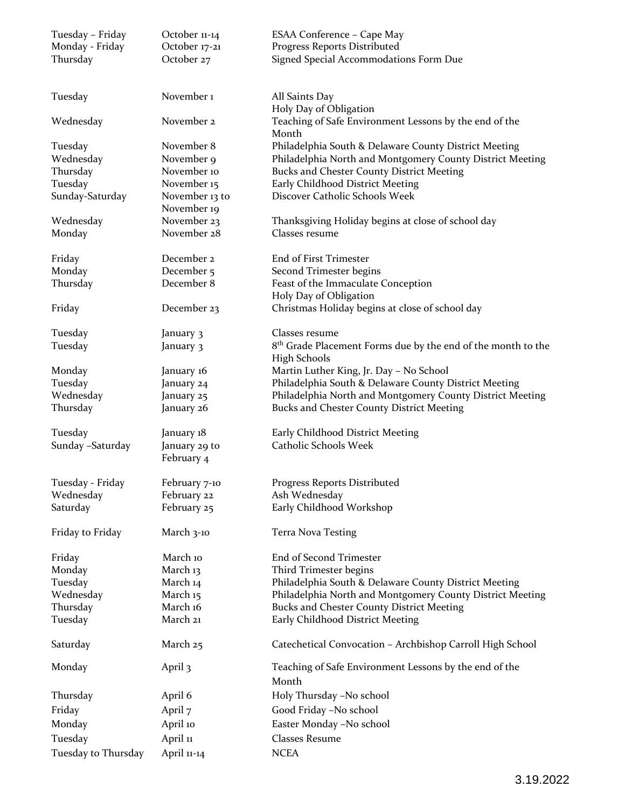| Tuesday - Friday    | October 11-14                 | ESAA Conference - Cape May                                                       |
|---------------------|-------------------------------|----------------------------------------------------------------------------------|
| Monday - Friday     | October 17-21                 | Progress Reports Distributed                                                     |
| Thursday            | October 27                    | Signed Special Accommodations Form Due                                           |
| Tuesday             | November <sub>1</sub>         | All Saints Day                                                                   |
| Wednesday           | November 2                    | Holy Day of Obligation<br>Teaching of Safe Environment Lessons by the end of the |
|                     |                               | Month                                                                            |
| Tuesday             | November 8                    | Philadelphia South & Delaware County District Meeting                            |
| Wednesday           | November 9                    | Philadelphia North and Montgomery County District Meeting                        |
| Thursday            | November 10                   | <b>Bucks and Chester County District Meeting</b>                                 |
| Tuesday             | November 15                   | Early Childhood District Meeting                                                 |
| Sunday-Saturday     | November 13 to<br>November 19 | Discover Catholic Schools Week                                                   |
| Wednesday           | November 23                   | Thanksgiving Holiday begins at close of school day                               |
| Monday              | November 28                   | Classes resume                                                                   |
| Friday              | December 2                    | End of First Trimester                                                           |
| Monday              | December 5                    | Second Trimester begins                                                          |
| Thursday            | December 8                    | Feast of the Immaculate Conception<br>Holy Day of Obligation                     |
| Friday              | December 23                   | Christmas Holiday begins at close of school day                                  |
| Tuesday             | January 3                     | Classes resume                                                                   |
| Tuesday             | January 3                     | 8 <sup>th</sup> Grade Placement Forms due by the end of the month to the         |
|                     |                               | <b>High Schools</b>                                                              |
| Monday              | January 16                    | Martin Luther King, Jr. Day - No School                                          |
| Tuesday             | January 24                    | Philadelphia South & Delaware County District Meeting                            |
| Wednesday           | January 25                    | Philadelphia North and Montgomery County District Meeting                        |
| Thursday            | January 26                    | <b>Bucks and Chester County District Meeting</b>                                 |
| Tuesday             | January 18                    | Early Childhood District Meeting                                                 |
| Sunday - Saturday   | January 29 to                 | Catholic Schools Week                                                            |
|                     | February 4                    |                                                                                  |
| Tuesday - Friday    | February 7-10                 | Progress Reports Distributed                                                     |
| Wednesday           | February 22                   | Ash Wednesday                                                                    |
| Saturday            | February 25                   | Early Childhood Workshop                                                         |
| Friday to Friday    | March 3-10                    | Terra Nova Testing                                                               |
| Friday              | March 10                      | End of Second Trimester                                                          |
| Monday              | March 13                      | Third Trimester begins                                                           |
| Tuesday             | March 14                      | Philadelphia South & Delaware County District Meeting                            |
| Wednesday           | March 15                      | Philadelphia North and Montgomery County District Meeting                        |
| Thursday            | March 16                      | <b>Bucks and Chester County District Meeting</b>                                 |
| Tuesday             | March 21                      | Early Childhood District Meeting                                                 |
| Saturday            | March 25                      | Catechetical Convocation - Archbishop Carroll High School                        |
| Monday              | April 3                       | Teaching of Safe Environment Lessons by the end of the                           |
|                     |                               | Month                                                                            |
| Thursday            | April 6                       | Holy Thursday -No school                                                         |
| Friday              | April 7                       | Good Friday -No school                                                           |
| Monday              | April 10                      | Easter Monday -No school                                                         |
| Tuesday             | April 11                      | <b>Classes Resume</b>                                                            |
| Tuesday to Thursday | April 11-14                   | <b>NCEA</b>                                                                      |